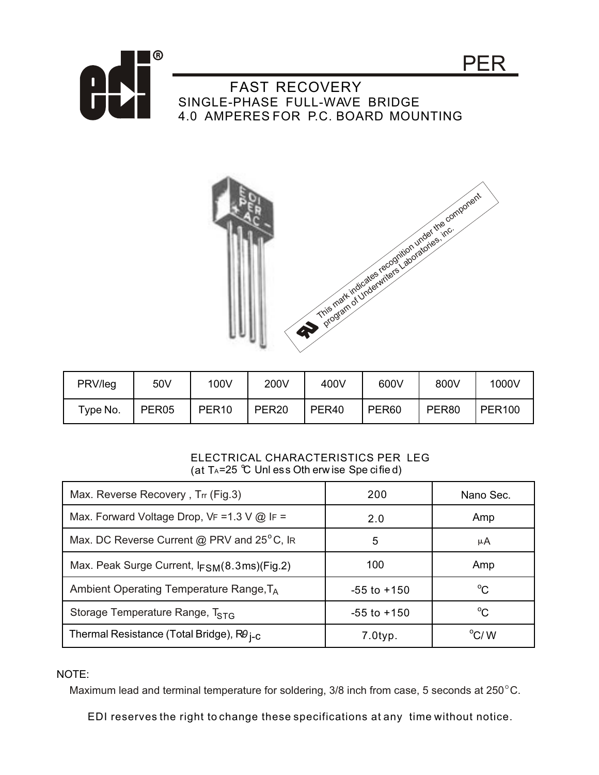



| PRV/leg        | 50V               | 100V              | 200V              | 400V              | 600V         | 800V              | 1000V         |
|----------------|-------------------|-------------------|-------------------|-------------------|--------------|-------------------|---------------|
| $\tau$ ype No. | PER <sub>05</sub> | PER <sub>10</sub> | PER <sub>20</sub> | PER <sub>40</sub> | <b>PER60</b> | PER <sub>80</sub> | <b>PER100</b> |

## ELECTRICAL CHARACTERISTICS PER LEG (at  $T_A = 25$  °C Unless Oth erw ise Spe cified)

| Max. Reverse Recovery, Trr (Fig.3)                           | 200             | Nano Sec.     |  |
|--------------------------------------------------------------|-----------------|---------------|--|
| Max. Forward Voltage Drop, $VF = 1.3$ V $@$ IF =             | 2.0             | Amp           |  |
| Max. DC Reverse Current @ PRV and 25°C, IR                   | 5               | μA            |  |
| Max. Peak Surge Current, I <sub>FSM</sub> (8.3ms)(Fig.2)     | 100             | Amp           |  |
| Ambient Operating Temperature Range, TA                      | $-55$ to $+150$ | $^{\circ}C$   |  |
| Storage Temperature Range, T <sub>STG</sub>                  | $-55$ to $+150$ | $^{\circ}C$   |  |
| Thermal Resistance (Total Bridge), R $\theta$ <sub>i-C</sub> | $7.0$ typ.      | $\rm ^{o}C/M$ |  |

## NOTE:

Maximum lead and terminal temperature for soldering, 3/8 inch from case, 5 seconds at 250 $^{\circ}$ C.

EDI reserves the right to change these specifications at any time without notice.